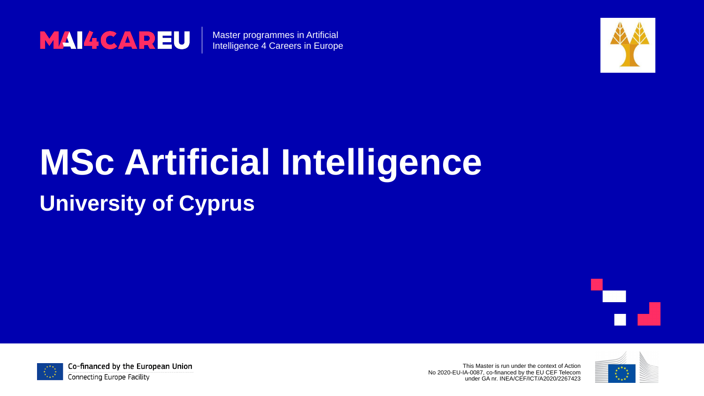This Master is run under the context of Action No 2020-EU-IA-0087, co-financed by the EU CEF Telecom under GA nr. INEA/CEF/ICT/A2020/2267423







Master programmes in Artificial Intelligence 4 Careers in Europe

# **MSc Artificial Intelligence University of Cyprus**



Co-financed by the European Union

**Connecting Europe Facility** 

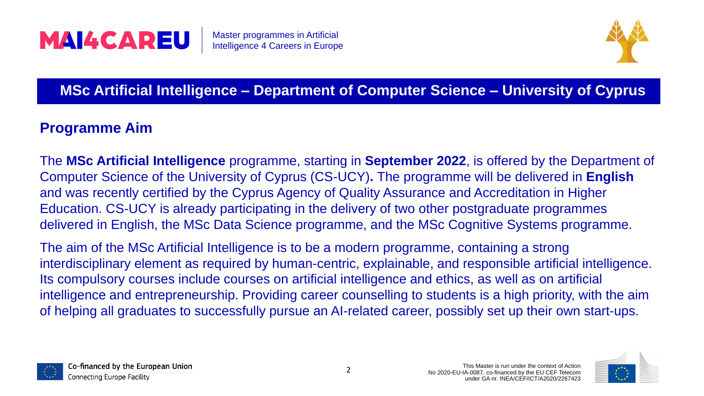

### **MSc Artificial Intelligence – Department of Computer Science – University of Cyprus**

The **MSc Artificial Intelligence** programme, starting in **September 2022**, is offered by the Department of Computer Science of the University of Cyprus (CS-UCY)**.** The programme will be delivered in **English** and was recently certified by the Cyprus Agency of Quality Assurance and Accreditation in Higher Education. CS-UCY is already participating in the delivery of two other postgraduate programmes delivered in English, the MSc Data Science programme, and the MSc Cognitive Systems programme.

The aim of the MSc Artificial Intelligence is to be a modern programme, containing a strong interdisciplinary element as required by human-centric, explainable, and responsible artificial intelligence. Its compulsory courses include courses on artificial intelligence and ethics, as well as on artificial intelligence and entrepreneurship. Providing career counselling to students is a high priority, with the aim of helping all graduates to successfully pursue an AI-related career, possibly set up their own start-ups.







### **Programme Aim**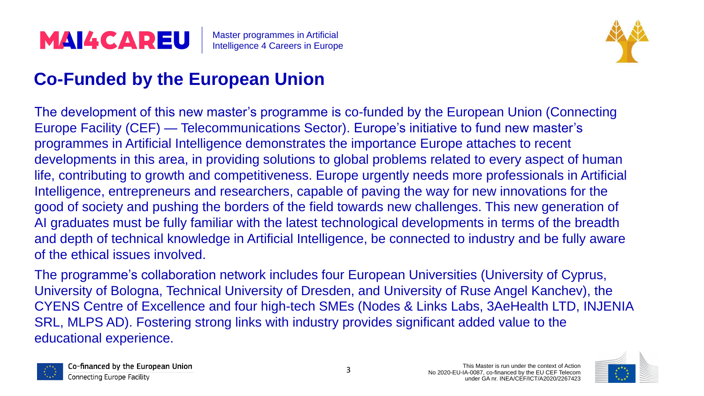The development of this new master's programme is co-funded by the European Union (Connecting Europe Facility (CEF) — Telecommunications Sector). Europe's initiative to fund new master's programmes in Artificial Intelligence demonstrates the importance Europe attaches to recent developments in this area, in providing solutions to global problems related to every aspect of human life, contributing to growth and competitiveness. Europe urgently needs more professionals in Artificial Intelligence, entrepreneurs and researchers, capable of paving the way for new innovations for the good of society and pushing the borders of the field towards new challenges. This new generation of AI graduates must be fully familiar with the latest technological developments in terms of the breadth and depth of technical knowledge in Artificial Intelligence, be connected to industry and be fully aware of the ethical issues involved.

The programme's collaboration network includes four European Universities (University of Cyprus, University of Bologna, Technical University of Dresden, and University of Ruse Angel Kanchev), the CYENS Centre of Excellence and four high-tech SMEs (Nodes & Links Labs, 3AeHealth LTD, INJENIA SRL, MLPS AD). Fostering strong links with industry provides significant added value to the educational experience.







### **Co-Funded by the European Union**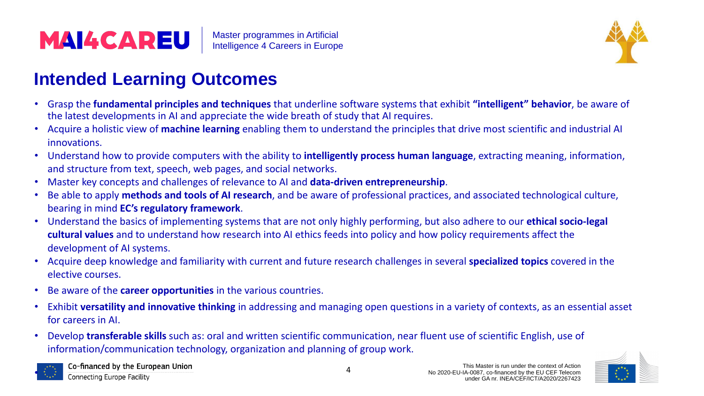• Grasp the **fundamental principles and techniques** that underline software systems that exhibit **"intelligent" behavior**, be aware of

- the latest developments in AI and appreciate the wide breath of study that AI requires.
- Acquire a holistic view of **machine learning** enabling them to understand the principles that drive most scientific and industrial AI innovations.
- Understand how to provide computers with the ability to **intelligently process human language**, extracting meaning, information, and structure from text, speech, web pages, and social networks.
- Master key concepts and challenges of relevance to AI and **data-driven entrepreneurship**.
- Be able to apply **methods and tools of AI research**, and be aware of professional practices, and associated technological culture, bearing in mind **EC's regulatory framework**.
- Understand the basics of implementing systems that are not only highly performing, but also adhere to our **ethical socio-legal cultural values** and to understand how research into AI ethics feeds into policy and how policy requirements affect the development of AI systems.
- Acquire deep knowledge and familiarity with current and future research challenges in several **specialized topics** covered in the elective courses.
- Be aware of the **career opportunities** in the various countries.
- for careers in AI.
- Develop **transferable skills** such as: oral and written scientific communication, near fluent use of scientific English, use of information/communication technology, organization and planning of group work.

• Exhibit **versatility and innovative thinking** in addressing and managing open questions in a variety of contexts, as an essential asset





Co-financed by the European Union **Connecting Europe Facility** 



### **Intended Learning Outcomes**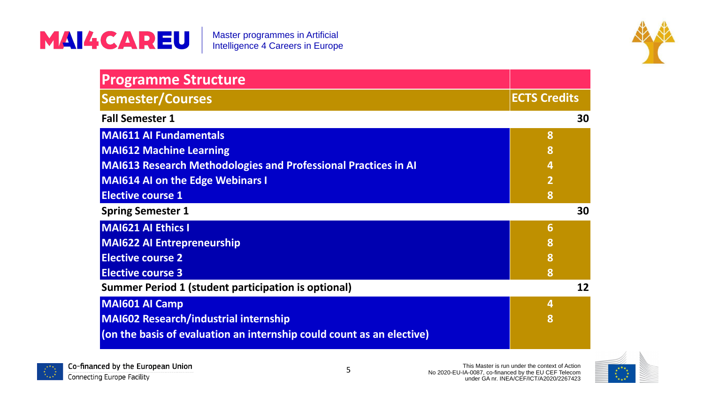This Master is run under the context of Action No 2020-EU-IA-0087, co-financed by the EU CEF Telecom under GA nr. INEA/CEF/ICT/A2020/2267423

### MAI4CAREU



# **Programme Structure**

**MAI611 AI Fundamentals**

**MAI612 Machine Learning**

**MAI613 Research Methodologies and Professional Practices in AI**

**MAI614 AI on the Edge Webinars I**

**Elective course 1**

**MAI621 AI Ethics I**





**MAI622 AI Entrepreneurship**

**Elective course 2**

**Elective course 3**

**MAI601 AI Camp**

**MAI602 Research/industrial internship**

**(on the basis of evaluation an internship could count as an elective)**



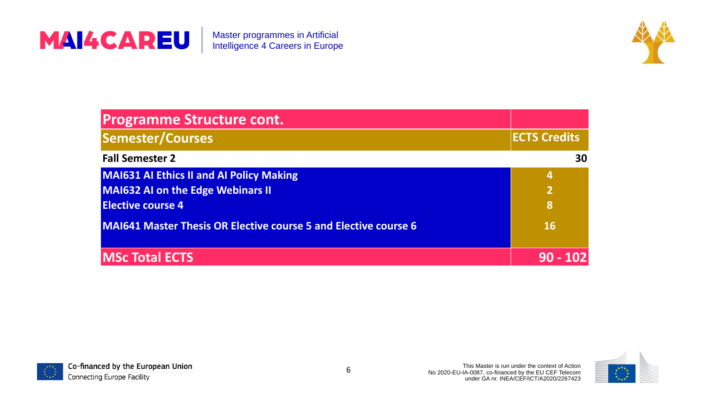

### **Programme Structure cont.**

**Semester/Courses** 

**Fall Semester 2** 

**MAI631 AI Ethics II and AI Policy Making MAI632 AI on the Edge Webinars II Elective course 4**

**MAI641 Master Thesis OR Elective course 5 and** 

|                     | <b>ECTS Credits</b> |
|---------------------|---------------------|
|                     | 30                  |
|                     | 4                   |
|                     | $\overline{2}$      |
|                     | 8                   |
| d Elective course 6 | <b>16</b>           |
|                     |                     |
|                     | $90 - 102$          |



### **MSc Total ECTS 90 - 102**



Co-financed by the European Union

**Connecting Europe Facility** 

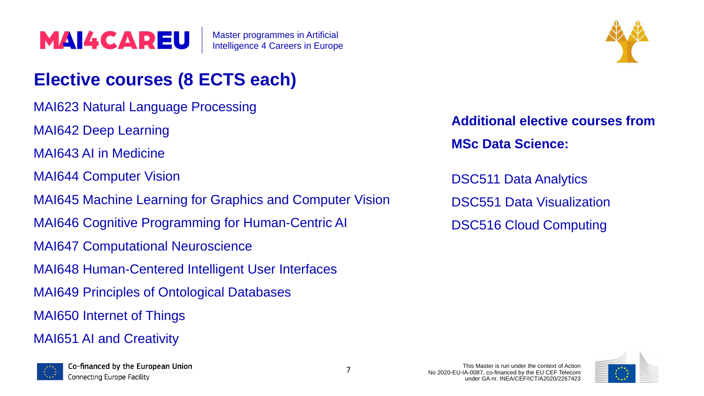- MAI623 Natural Language Processing
- MAI642 Deep Learning
- MAI643 AI in Medicine
- MAI644 Computer Vision
- MAI645 Machine Learning for Graphics and Computer Vision
- MAI646 Cognitive Programming for Human-Centric AI
- MAI647 Computational Neuroscience
- MAI648 Human-Centered Intelligent User Interfaces
- MAI649 Principles of Ontological Databases
- MAI650 Internet of Things
- MAI651 AI and Creativity





### **Elective courses (8 ECTS each)**

**Additional elective courses from MSc Data Science:**

DSC511 Data Analytics DSC551 Data Visualization DSC516 Cloud Computing

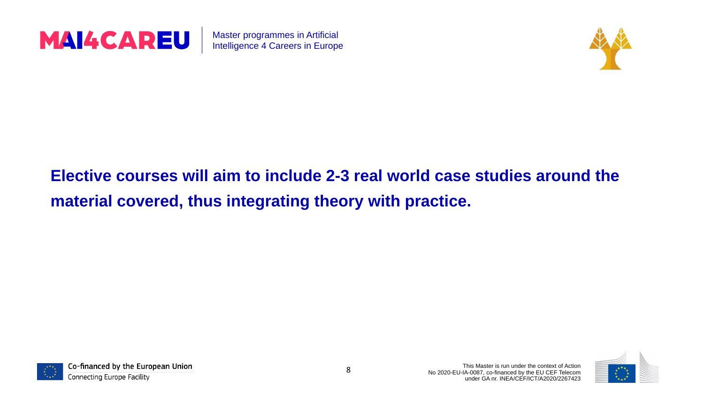

Master programmes in Artificial Intelligence 4 Careers in Europe

### **Elective courses will aim to include 2-3 real world case studies around the material covered, thus integrating theory with practice.**



Co-financed by the European Union

**Connecting Europe Facility** 



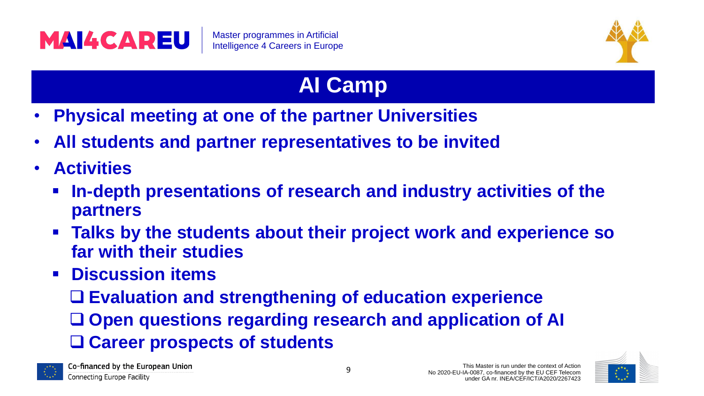

- **Physical meeting at one of the partner Universities** • **All students and partner representatives to be invited**
- 
- **Activities**
	- $\blacksquare$  **In-depth presentations of research and industry activities of the partners**
	- **Talks by the students about their project work and experience so far with their studies**
	- **Discussion items**
		- ❑ **Open questions regarding research and application of AI**
		- ❑ **Evaluation and strengthening of education experience**
		- ❑ **Career prospects of students**









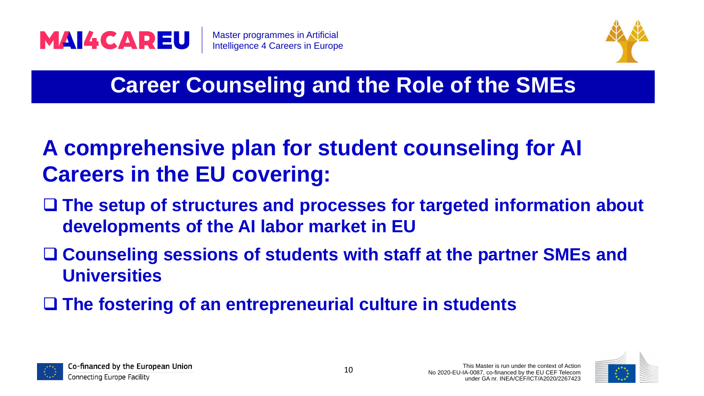

# ❑ **The setup of structures and processes for targeted information about**



- **A comprehensive plan for student counseling for AI Careers in the EU covering:**
- **developments of the AI labor market in EU**
- ❑ **Counseling sessions of students with staff at the partner SMEs and Universities**
- ❑ **The fostering of an entrepreneurial culture in students**







### **Career Counseling and the Role of the SMEs**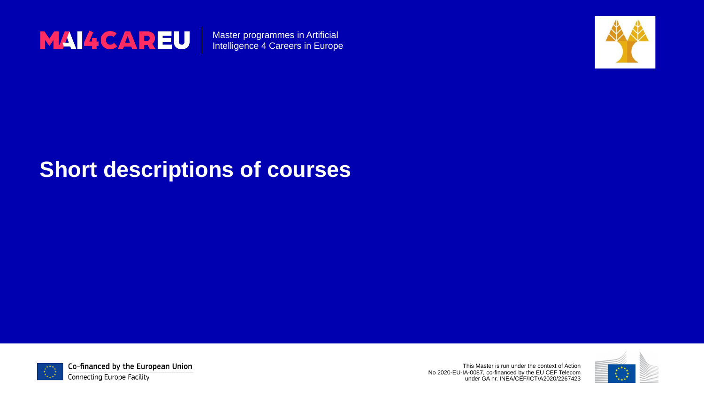This Master is run under the context of Action No 2020-EU-IA-0087, co-financed by the EU CEF Telecom under GA nr. INEA/CEF/ICT/A2020/2267423





Master programmes in Artificial Intelligence 4 Careers in Europe

### **Short descriptions of courses**



Co-financed by the European Union

**Connecting Europe Facility** 

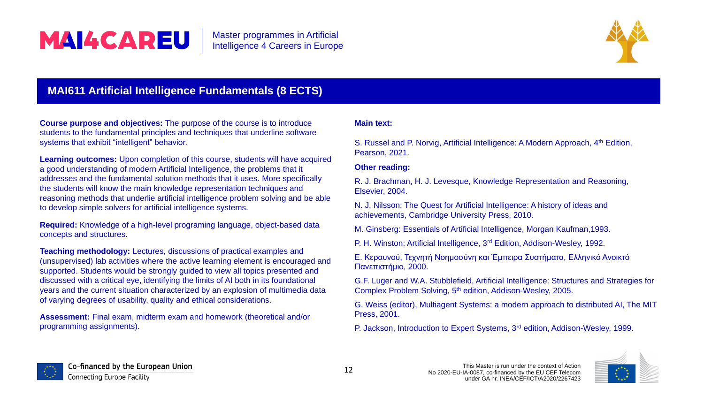

### **MAI611 Artificial Intelligence Fundamentals (8 ECTS)**

**Course purpose and objectives:** The purpose of the course is to introduce students to the fundamental principles and techniques that underline software systems that exhibit "intelligent" behavior.

**Learning outcomes:** Upon completion of this course, students will have acquired a good understanding of modern Artificial Intelligence, the problems that it addresses and the fundamental solution methods that it uses. More specifically the students will know the main knowledge representation techniques and reasoning methods that underlie artificial intelligence problem solving and be able to develop simple solvers for artificial intelligence systems.

S. Russel and P. Norvig, Artificial Intelligence: A Modern Approach, 4<sup>th</sup> Edition, Pearson, 2021.

**Required:** Knowledge of a high-level programing language, object-based data concepts and structures.

> G.F. Luger and W.A. Stubblefield, Artificial Intelligence: Structures and Strategies for Complex Problem Solving, 5<sup>th</sup> edition, Addison-Wesley, 2005.

**Teaching methodology:** Lectures, discussions of practical examples and (unsupervised) lab activities where the active learning element is encouraged and supported. Students would be strongly guided to view all topics presented and discussed with a critical eye, identifying the limits of AI both in its foundational years and the current situation characterized by an explosion of multimedia data of varying degrees of usability, quality and ethical considerations.

**Assessment:** Final exam, midterm exam and homework (theoretical and/or programming assignments).



Co-financed by the European Union Connecting Europe Facility



#### **Main text:**

#### **Other reading:**

R. J. Brachman, H. J. Levesque, Knowledge Representation and Reasoning, Elsevier, 2004.

N. J. Nilsson: The Quest for Artificial Intelligence: A history of ideas and achievements, Cambridge University Press, 2010.

M. Ginsberg: Essentials of Artificial Intelligence, Morgan Kaufman,1993.

P. H. Winston: Artificial Intelligence, 3<sup>rd</sup> Edition, Addison-Wesley, 1992.

Ε. Κεραυνού, Τεχνητή Νοημοσύνη και Έμπειρα Συστήματα, Ελληνικό Ανοικτό Πανεπιστήμιο, 2000.

G. Weiss (editor), Multiagent Systems: a modern approach to distributed AI, The MIT Press, 2001.

P. Jackson, Introduction to Expert Systems, 3<sup>rd</sup> edition, Addison-Wesley, 1999.

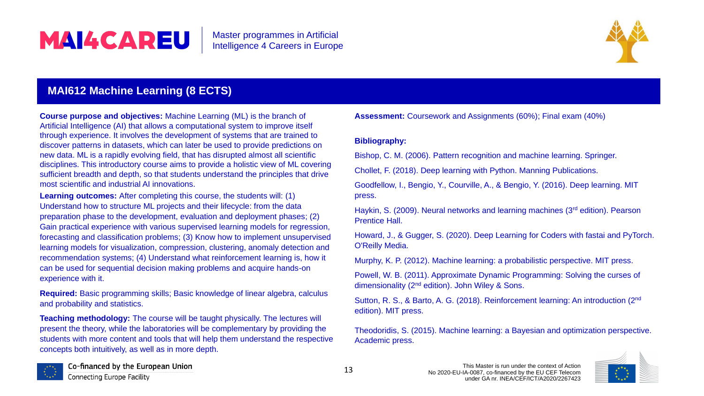### **MAI612 Machine Learning (8 ECTS)**

**Course purpose and objectives:** Machine Learning (ML) is the branch of Artificial Intelligence (AI) that allows a computational system to improve itself through experience. It involves the development of systems that are trained to discover patterns in datasets, which can later be used to provide predictions on new data. ML is a rapidly evolving field, that has disrupted almost all scientific disciplines. This introductory course aims to provide a holistic view of ML covering sufficient breadth and depth, so that students understand the principles that drive most scientific and industrial AI innovations.

**Learning outcomes:** After completing this course, the students will: (1) Understand how to structure ML projects and their lifecycle: from the data preparation phase to the development, evaluation and deployment phases; (2) Gain practical experience with various supervised learning models for regression, forecasting and classification problems; (3) Know how to implement unsupervised learning models for visualization, compression, clustering, anomaly detection and recommendation systems; (4) Understand what reinforcement learning is, how it can be used for sequential decision making problems and acquire hands-on experience with it.

**Required:** Basic programming skills; Basic knowledge of linear algebra, calculus and probability and statistics.

**Teaching methodology:** The course will be taught physically. The lectures will present the theory, while the laboratories will be complementary by providing the students with more content and tools that will help them understand the respective concepts both intuitively, as well as in more depth.



Co-financed by the European Union Connecting Europe Facility



**Assessment:** Coursework and Assignments (60%); Final exam (40%)

#### **Bibliography:**

- Bishop, C. M. (2006). Pattern recognition and machine learning. Springer.
- Chollet, F. (2018). Deep learning with Python. Manning Publications.
- Goodfellow, I., Bengio, Y., Courville, A., & Bengio, Y. (2016). Deep learning. MIT press.
- Haykin, S. (2009). Neural networks and learning machines (3<sup>rd</sup> edition). Pearson Prentice Hall.
- Howard, J., & Gugger, S. (2020). Deep Learning for Coders with fastai and PyTorch. O'Reilly Media.
- Murphy, K. P. (2012). Machine learning: a probabilistic perspective. MIT press.
- Powell, W. B. (2011). Approximate Dynamic Programming: Solving the curses of dimensionality (2<sup>nd</sup> edition). John Wiley & Sons.
- Sutton, R. S., & Barto, A. G. (2018). Reinforcement learning: An introduction (2<sup>nd</sup> edition). MIT press.
- Theodoridis, S. (2015). Machine learning: a Bayesian and optimization perspective. Academic press.

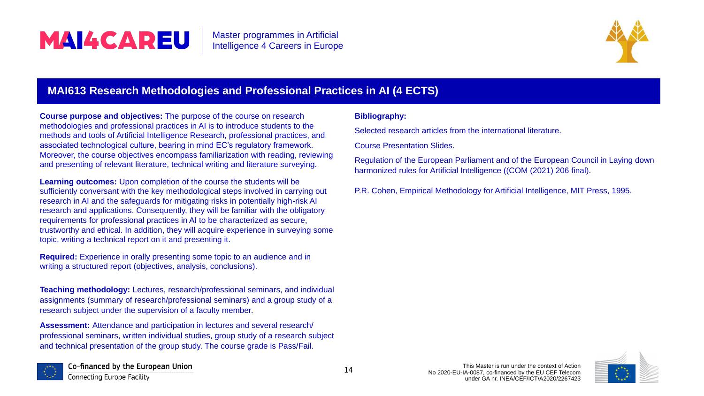### **MAI613 Research Methodologies and Professional Pra**

**Course purpose and objectives:** The purpose of the course on research methodologies and professional practices in AI is to introduce students to the methods and tools of Artificial Intelligence Research, professional practices, and associated technological culture, bearing in mind EC's regulatory framework. Moreover, the course objectives encompass familiarization with reading, reviewing and presenting of relevant literature, technical writing and literature surveying.

**Learning outcomes:** Upon completion of the course the students will be sufficiently conversant with the key methodological steps involved in carrying out research in AI and the safeguards for mitigating risks in potentially high-risk AI research and applications. Consequently, they will be familiar with the obligatory requirements for professional practices in AI to be characterized as secure, trustworthy and ethical. In addition, they will acquire experience in surveying some topic, writing a technical report on it and presenting it.

**Required:** Experience in orally presenting some topic to an audience and in writing a structured report (objectives, analysis, conclusions).

**Teaching methodology:** Lectures, research/professional seminars, and individual assignments (summary of research/professional seminars) and a group study of a research subject under the supervision of a faculty member.

**Assessment:** Attendance and participation in lectures and several research/ professional seminars, written individual studies, group study of a research subject and technical presentation of the group study. The course grade is Pass/Fail.







|                                                               | <b>Ictices in AI (4 ECTS)</b>                                                                                                                             |  |
|---------------------------------------------------------------|-----------------------------------------------------------------------------------------------------------------------------------------------------------|--|
|                                                               | <b>Bibliography:</b>                                                                                                                                      |  |
| Selected research articles from the international literature. |                                                                                                                                                           |  |
|                                                               | <b>Course Presentation Slides.</b>                                                                                                                        |  |
|                                                               | Regulation of the European Parliament and of the European Council in Laying down<br>harmonized rules for Artificial Intelligence ((COM (2021) 206 final). |  |
|                                                               | P.R. Cohen, Empirical Methodology for Artificial Intelligence, MIT Press, 1995.                                                                           |  |
|                                                               |                                                                                                                                                           |  |

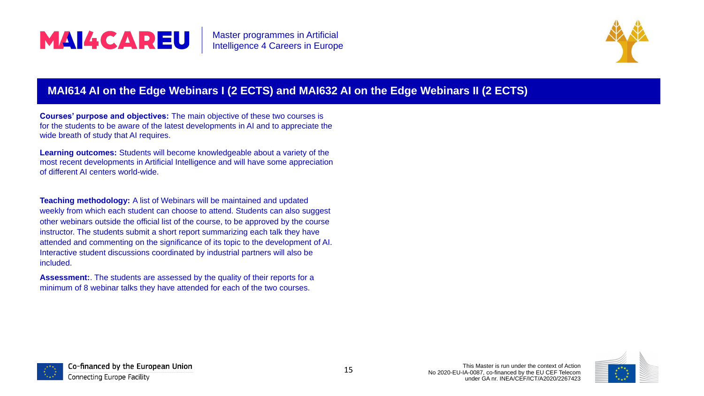

### **MAI614 AI on the Edge Webinars I (2 ECTS) and MAI632 AI on the Edge Webinars II (2 ECTS)**

**Courses' purpose and objectives:** The main objective of these two courses is for the students to be aware of the latest developments in AI and to appreciate the wide breath of study that AI requires.

**Learning outcomes:** Students will become knowledgeable about a variety of the most recent developments in Artificial Intelligence and will have some appreciation of different AI centers world-wide.

**Teaching methodology:** A list of Webinars will be maintained and updated weekly from which each student can choose to attend. Students can also suggest other webinars outside the official list of the course, to be approved by the course instructor. The students submit a short report summarizing each talk they have attended and commenting on the significance of its topic to the development of AI. Interactive student discussions coordinated by industrial partners will also be included.

**Assessment:**. The students are assessed by the quality of their reports for a minimum of 8 webinar talks they have attended for each of the two courses.







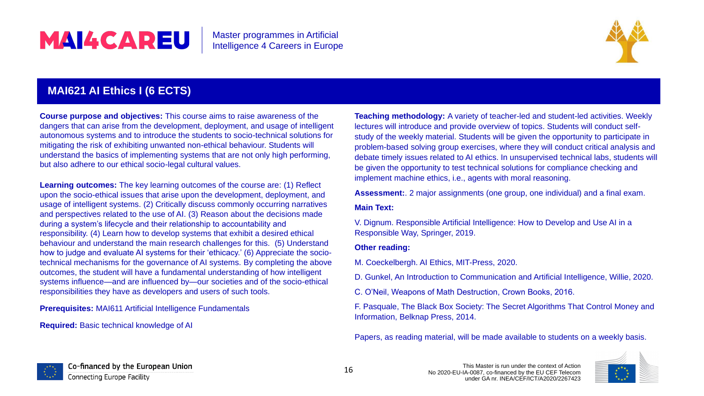### **MAI621 AI Ethics I (6 ECTS)**

**Learning outcomes:** The key learning outcomes of the course are: (1) Reflect upon the socio-ethical issues that arise upon the development, deployment, and usage of intelligent systems. (2) Critically discuss commonly occurring narratives and perspectives related to the use of AI. (3) Reason about the decisions made during a system's lifecycle and their relationship to accountability and responsibility. (4) Learn how to develop systems that exhibit a desired ethical behaviour and understand the main research challenges for this. (5) Understand how to judge and evaluate AI systems for their 'ethicacy.' (6) Appreciate the sociotechnical mechanisms for the governance of AI systems. By completing the above outcomes, the student will have a fundamental understanding of how intelligent systems influence—and are influenced by—our societies and of the socio-ethical responsibilities they have as developers and users of such tools.

**Course purpose and objectives:** This course aims to raise awareness of the dangers that can arise from the development, deployment, and usage of intelligent autonomous systems and to introduce the students to socio-technical solutions for mitigating the risk of exhibiting unwanted non-ethical behaviour. Students will understand the basics of implementing systems that are not only high performing, but also adhere to our ethical socio-legal cultural values. **Teaching methodology:** A variety of teacher-led and student-led activities. Weekly lectures will introduce and provide overview of topics. Students will conduct selfstudy of the weekly material. Students will be given the opportunity to participate in problem-based solving group exercises, where they will conduct critical analysis and debate timely issues related to AI ethics. In unsupervised technical labs, students will be given the opportunity to test technical solutions for compliance checking and implement machine ethics, i.e., agents with moral reasoning.

**Prerequisites:** MAI611 Artificial Intelligence Fundamentals

**Required:** Basic technical knowledge of AI



Co-financed by the European Union Connecting Europe Facility



**Assessment:**. 2 major assignments (one group, one individual) and a final exam.

#### **Main Text:**

V. Dignum. Responsible Artificial Intelligence: How to Develop and Use AI in a Responsible Way, Springer, 2019.

#### **Other reading:**

- M. Coeckelbergh. AI Ethics, MIT-Press, 2020.
- D. Gunkel, An Introduction to Communication and Artificial Intelligence, Willie, 2020.
- C. O'Neil, Weapons of Math Destruction, Crown Books, 2016.

F. Pasquale, The Black Box Society: The Secret Algorithms That Control Money and Information, Belknap Press, 2014.

Papers, as reading material, will be made available to students on a weekly basis.

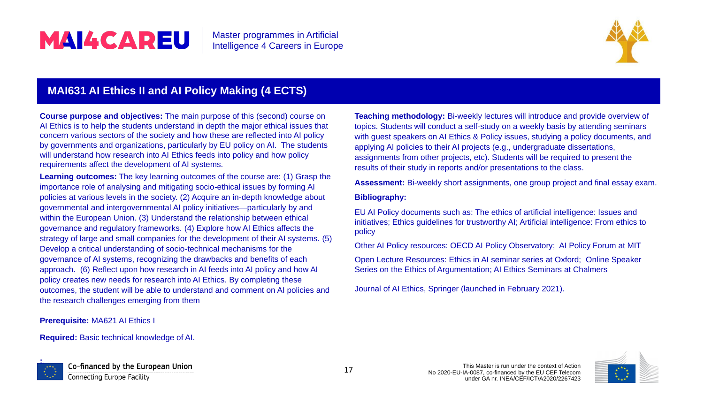### **MAI631 AI Ethics II and AI Policy Making (4 ECTS)**

**Course purpose and objectives:** The main purpose of this (second) course on AI Ethics is to help the students understand in depth the major ethical issues that concern various sectors of the society and how these are reflected into AI policy by governments and organizations, particularly by EU policy on AI. The students will understand how research into AI Ethics feeds into policy and how policy requirements affect the development of AI systems.

**Learning outcomes:** The key learning outcomes of the course are: (1) Grasp the importance role of analysing and mitigating socio-ethical issues by forming AI policies at various levels in the society. (2) Acquire an in-depth knowledge about governmental and intergovernmental AI policy initiatives—particularly by and within the European Union. (3) Understand the relationship between ethical governance and regulatory frameworks. (4) Explore how AI Ethics affects the strategy of large and small companies for the development of their AI systems. (5) Develop a critical understanding of socio-technical mechanisms for the governance of AI systems, recognizing the drawbacks and benefits of each approach. (6) Reflect upon how research in AI feeds into AI policy and how AI policy creates new needs for research into AI Ethics. By completing these outcomes, the student will be able to understand and comment on AI policies and the research challenges emerging from them

#### **Prerequisite:** MA621 AI Ethics I

**Required:** Basic technical knowledge of AI.



Co-financed by the European Union Connecting Europe Facility



**Teaching methodology:** Bi-weekly lectures will introduce and provide overview of topics. Students will conduct a self-study on a weekly basis by attending seminars with guest speakers on AI Ethics & Policy issues, studying a policy documents, and applying AI policies to their AI projects (e.g., undergraduate dissertations, assignments from other projects, etc). Students will be required to present the results of their study in reports and/or presentations to the class.

**Assessment:** Bi-weekly short assignments, one group project and final essay exam.

### **Bibliography:**

EU AI Policy documents such as: The ethics of artificial intelligence: Issues and initiatives; Ethics guidelines for trustworthy AI; Artificial intelligence: From ethics to policy

Other AI Policy resources: OECD AI Policy Observatory; AI Policy Forum at MIT

Open Lecture Resources: Ethics in AI seminar series at Oxford; Online Speaker Series on the Ethics of Argumentation; AI Ethics Seminars at Chalmers

Journal of AI Ethics, Springer (launched in February 2021).

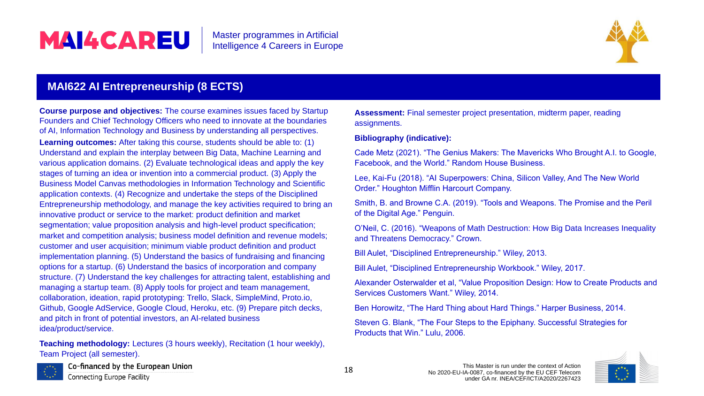MAI4CAREU Master programmes in Artificial Intelligence 4 Careers in Europe **MAI622 AI Entrepreneurship (8 ECTS) Course purpose and objectives:** The course examines issues faced by Startup **Assessment:** Final semester project presentation, midterm paper, reading Founders and Chief Technology Officers who need to innovate at the boundaries assignments. of AI, Information Technology and Business by understanding all perspectives. **Bibliography (indicative): Learning outcomes:** After taking this course, students should be able to: (1) Understand and explain the interplay between Big Data, Machine Learning and Cade Metz (2021). "The Genius Makers: The Mavericks Who Brought A.I. to Google, various application domains. (2) Evaluate technological ideas and apply the key Facebook, and the World." Random House Business. stages of turning an idea or invention into a commercial product. (3) Apply the Lee, Kai-Fu (2018). "AI Superpowers: China, Silicon Valley, And The New World Business Model Canvas methodologies in Information Technology and Scientific Order." Houghton Mifflin Harcourt Company. application contexts. (4) Recognize and undertake the steps of the Disciplined Smith, B. and Browne C.A. (2019). "Tools and Weapons. The Promise and the Peril Entrepreneurship methodology, and manage the key activities required to bring an of the Digital Age." Penguin. innovative product or service to the market: product definition and market segmentation; value proposition analysis and high-level product specification; O'Neil, C. (2016). "Weapons of Math Destruction: How Big Data Increases Inequality market and competition analysis; business model definition and revenue models; and Threatens Democracy." Crown. customer and user acquisition; minimum viable product definition and product Bill Aulet, "Disciplined Entrepreneurship." Wiley, 2013. implementation planning. (5) Understand the basics of fundraising and financing options for a startup. (6) Understand the basics of incorporation and company Bill Aulet, "Disciplined Entrepreneurship Workbook." Wiley, 2017. structure. (7) Understand the key challenges for attracting talent, establishing and Alexander Osterwalder et al, "Value Proposition Design: How to Create Products and managing a startup team. (8) Apply tools for project and team management, Services Customers Want." Wiley, 2014. collaboration, ideation, rapid prototyping: Trello, Slack, SimpleMind, Proto.io, Github, Google AdService, Google Cloud, Heroku, etc. (9) Prepare pitch decks, Ben Horowitz, "The Hard Thing about Hard Things." Harper Business, 2014. and pitch in front of potential investors, an ΑΙ-related business Steven G. Blank, "The Four Steps to the Epiphany. Successful Strategies for idea/product/service. Products that Win." Lulu, 2006.

**Teaching methodology:** Lectures (3 hours weekly), Recitation (1 hour weekly), Team Project (all semester).



Co-financed by the European Union

**Connecting Europe Facility** 



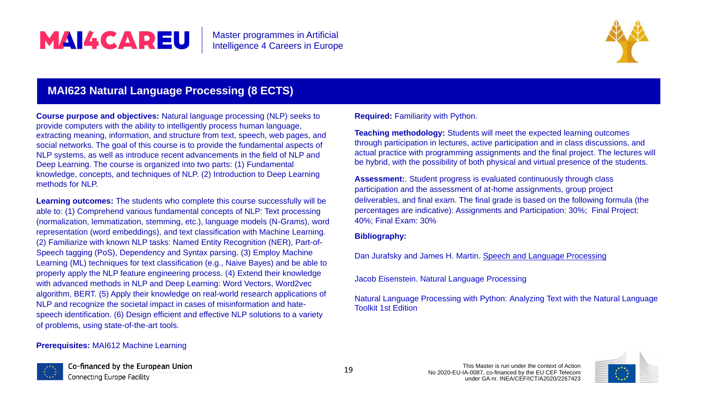### **MAI623 Natural Language Processing (8 ECTS)**

**Course purpose and objectives:** Natural language processing (NLP) seeks to provide computers with the ability to intelligently process human language, extracting meaning, information, and structure from text, speech, web pages, and social networks. The goal of this course is to provide the fundamental aspects of NLP systems, as well as introduce recent advancements in the field of NLP and Deep Learning. The course is organized into two parts: (1) Fundamental knowledge, concepts, and techniques of NLP. (2) Introduction to Deep Learning methods for NLP.

**Learning outcomes:** The students who complete this course successfully will be able to: (1) Comprehend various fundamental concepts of NLP: Text processing (normalization, lemmatization, stemming, etc.), language models (N-Grams), word representation (word embeddings), and text classification with Machine Learning. (2) Familiarize with known NLP tasks: Named Entity Recognition (NER), Part-of-Speech tagging (PoS), Dependency and Syntax parsing. (3) Employ Machine Learning (ML) techniques for text classification (e.g., Naive Bayes) and be able to properly apply the NLP feature engineering process. (4) Extend their knowledge with advanced methods in NLP and Deep Learning: Word Vectors, Word2vec algorithm, BERT. (5) Apply their knowledge on real-world research applications of NLP and recognize the societal impact in cases of misinformation and hatespeech identification. (6) Design efficient and effective NLP solutions to a variety of problems, using state-of-the-art tools.

#### **Prerequisites:** MAI612 Machine Learning



Co-financed by the European Union Connecting Europe Facility



**Required:** Familiarity with Python.

**Teaching methodology:** Students will meet the expected learning outcomes through participation in lectures, active participation and in class discussions, and actual practice with programming assignments and the final project. The lectures will be hybrid, with the possibility of both physical and virtual presence of the students.

**Assessment:**. Student progress is evaluated continuously through class participation and the assessment of at-home assignments, group project deliverables, and final exam. The final grade is based on the following formula (the percentages are indicative): Assignments and Participation: 30%; Final Project: 40%; Final Exam: 30%

#### **Bibliography:**

Dan Jurafsky and James H. Martin. Speech and Language [Processing](https://web.stanford.edu/~jurafsky/slp3/)

Jacob Eisenstein. Natural Language Processing

Natural Language Processing with Python: Analyzing Text with the Natural Language Toolkit 1st Edition

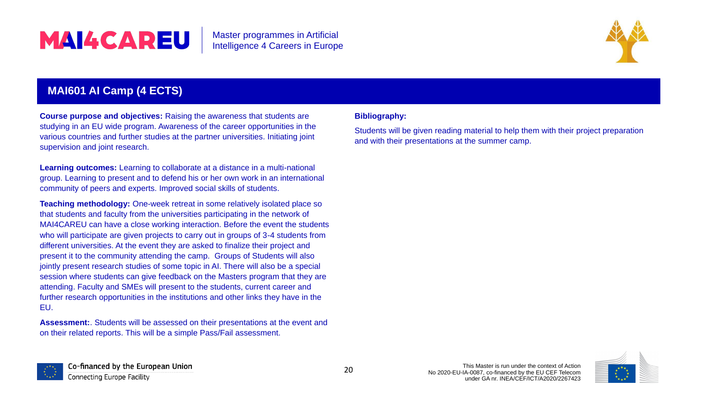### **MAI601 AI Camp (4 ECTS)**

**Course purpose and objectives:** Raising the awareness that students are studying in an EU wide program. Awareness of the career opportunities in the various countries and further studies at the partner universities. Initiating joint supervision and joint research.

**Learning outcomes:** Learning to collaborate at a distance in a multi-national group. Learning to present and to defend his or her own work in an international community of peers and experts. Improved social skills of students.

**Teaching methodology:** One-week retreat in some relatively isolated place so that students and faculty from the universities participating in the network of MAI4CAREU can have a close working interaction. Before the event the students who will participate are given projects to carry out in groups of 3-4 students from different universities. At the event they are asked to finalize their project and present it to the community attending the camp. Groups of Students will also jointly present research studies of some topic in AI. There will also be a special session where students can give feedback on the Masters program that they are attending. Faculty and SMEs will present to the students, current career and further research opportunities in the institutions and other links they have in the EU.

**Assessment:**. Students will be assessed on their presentations at the event and on their related reports. This will be a simple Pass/Fail assessment.



Co-financed by the European Union Connecting Europe Facility



#### **Bibliography:**

Students will be given reading material to help them with their project preparation and with their presentations at the summer camp.

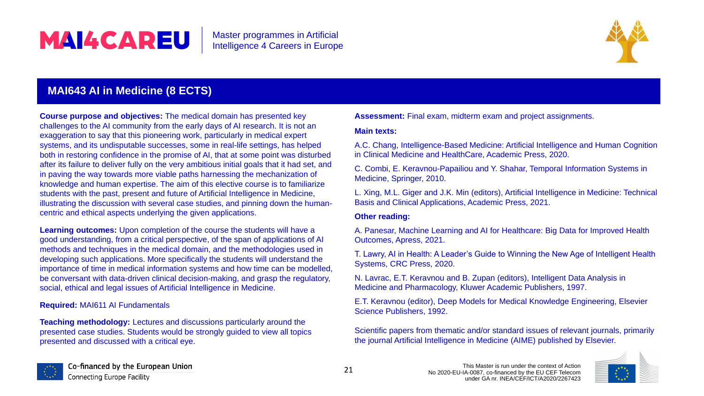**Course purpose and objectives:** The medical domain has presented key challenges to the AI community from the early days of AI research. It is not an exaggeration to say that this pioneering work, particularly in medical expert systems, and its undisputable successes, some in real-life settings, has helped both in restoring confidence in the promise of AI, that at some point was disturbed after its failure to deliver fully on the very ambitious initial goals that it had set, and in paving the way towards more viable paths harnessing the mechanization of knowledge and human expertise. The aim of this elective course is to familiarize students with the past, present and future of Artificial Intelligence in Medicine, illustrating the discussion with several case studies, and pinning down the humancentric and ethical aspects underlying the given applications. **Learning outcomes:** Upon completion of the course the students will have a good understanding, from a critical perspective, of the span of applications of AI methods and techniques in the medical domain, and the methodologies used in developing such applications. More specifically the students will understand the importance of time in medical information systems and how time can be modelled, be conversant with data-driven clinical decision-making, and grasp the regulatory, social, ethical and legal issues of Artificial Intelligence in Medicine. **Required:** MAI611 AI Fundamentals **Teaching methodology:** Lectures and discussions particularly around the presented case studies. Students would be strongly guided to view all topics presented and discussed with a critical eye.



Co-financed by the European Union Connecting Europe Facility



# MAI4CAREU

This Master is run under the context of Action Master programmes in Artificial Intelligence 4 Careers in Europe **MAI643 AI in Medicine (8 ECTS) Assessment:** Final exam, midterm exam and project assignments. **Main texts:** A.C. Chang, Intelligence-Based Medicine: Artificial Intelligence and Human Cognition in Clinical Medicine and HealthCare, Academic Press, 2020. C. Combi, E. Keravnou-Papailiou and Y. Shahar, Temporal Information Systems in Medicine, Springer, 2010. L. Xing, M.L. Giger and J.K. Min (editors), Artificial Intelligence in Medicine: Technical Basis and Clinical Applications, Academic Press, 2021. **Other reading:** A. Panesar, Machine Learning and AI for Healthcare: Big Data for Improved Health Outcomes, Apress, 2021. T. Lawry, AI in Health: A Leader's Guide to Winning the New Age of Intelligent Health Systems, CRC Press, 2020. N. Lavrac, E.T. Keravnou and B. Zupan (editors), Intelligent Data Analysis in Medicine and Pharmacology, Kluwer Academic Publishers, 1997. E.T. Keravnou (editor), Deep Models for Medical Knowledge Engineering, Elsevier Science Publishers, 1992. Scientific papers from thematic and/or standard issues of relevant journals, primarily the journal Artificial Intelligence in Medicine (AIME) published by Elsevier.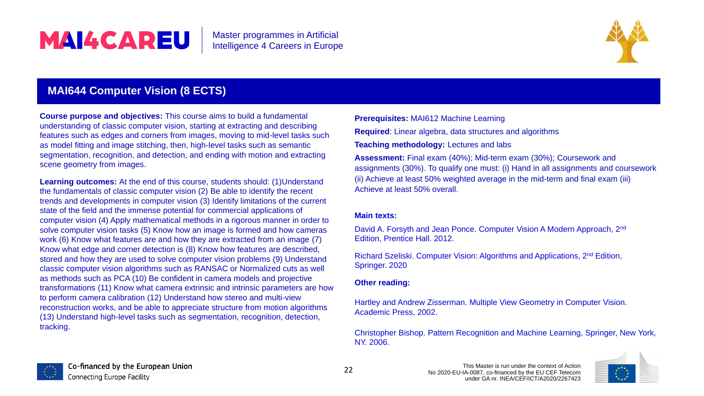### **MAI644 Computer Vision (8 ECTS)**

**Course purpose and objectives:** This course aims to build a fundamental understanding of classic computer vision, starting at extracting and describing features such as edges and corners from images, moving to mid-level tasks such as model fitting and image stitching, then, high-level tasks such as semantic segmentation, recognition, and detection, and ending with motion and extracting scene geometry from images.

> David A. Forsyth and Jean Ponce. Computer Vision A Modern Approach, 2<sup>nd</sup> Edition, Prentice Hall. 2012.

Richard Szeliski. Computer Vision: Algorithms and Applications, 2<sup>nd</sup> Edition, Springer. 2020

**Learning outcomes:** At the end of this course, students should: (1)Understand the fundamentals of classic computer vision (2) Be able to identify the recent trends and developments in computer vision (3) Identify limitations of the current state of the field and the immense potential for commercial applications of computer vision (4) Apply mathematical methods in a rigorous manner in order to solve computer vision tasks (5) Know how an image is formed and how cameras work (6) Know what features are and how they are extracted from an image (7) Know what edge and corner detection is (8) Know how features are described, stored and how they are used to solve computer vision problems (9) Understand classic computer vision algorithms such as RANSAC or Normalized cuts as well as methods such as PCA (10) Be confident in camera models and projective transformations (11) Know what camera extrinsic and intrinsic parameters are how to perform camera calibration (12) Understand how stereo and multi-view reconstruction works, and be able to appreciate structure from motion algorithms (13) Understand high-level tasks such as segmentation, recognition, detection, tracking.



Co-financed by the European Union Connecting Europe Facility



**Prerequisites:** MAI612 Machine Learning

**Required**: Linear algebra, data structures and algorithms

**Teaching methodology:** Lectures and labs

**Assessment:** Final exam (40%); Mid-term exam (30%); Coursework and assignments (30%). To qualify one must: (i) Hand in all assignments and coursework (ii) Achieve at least 50% weighted average in the mid-term and final exam (iii) Achieve at least 50% overall.

#### **Main texts:**

#### **Other reading:**

Hartley and Andrew Zisserman. Multiple View Geometry in Computer Vision. Academic Press, 2002.

Christopher Bishop. Pattern Recognition and Machine Learning, Springer, New York, NY. 2006.

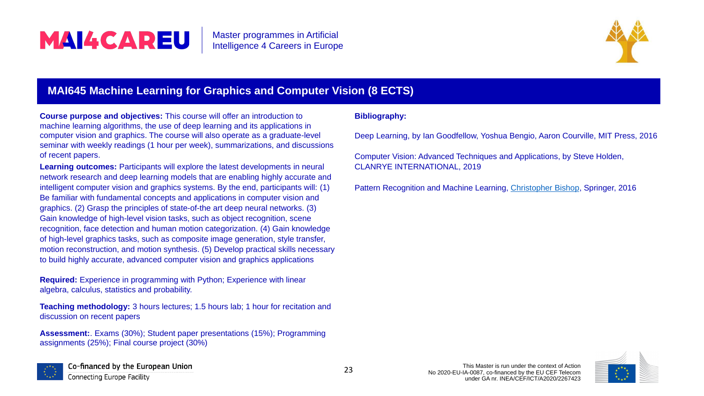### **MAI645 Machine Learning for Graphics and Computer Vision (8 ECTS)**

**Course purpose and objectives:** This course will offer an introduction to machine learning algorithms, the use of deep learning and its applications in computer vision and graphics. The course will also operate as a graduate-level seminar with weekly readings (1 hour per week), summarizations, and discussions of recent papers.

**Learning outcomes:** Participants will explore the latest developments in neural network research and deep learning models that are enabling highly accurate and intelligent computer vision and graphics systems. By the end, participants will: (1) Be familiar with fundamental concepts and applications in computer vision and graphics. (2) Grasp the principles of state-of-the art deep neural networks. (3) Gain knowledge of high-level vision tasks, such as object recognition, scene recognition, face detection and human motion categorization. (4) Gain knowledge of high-level graphics tasks, such as composite image generation, style transfer, motion reconstruction, and motion synthesis. (5) Develop practical skills necessary to build highly accurate, advanced computer vision and graphics applications

**Required:** Experience in programming with Python; Experience with linear algebra, calculus, statistics and probability.

**Teaching methodology:** 3 hours lectures; 1.5 hours lab; 1 hour for recitation and discussion on recent papers

**Assessment:**. Exams (30%); Student paper presentations (15%); Programming assignments (25%); Final course project (30%)



Co-financed by the European Union Connecting Europe Facility





#### **Bibliography:**

Deep Learning, by Ian Goodfellow, Yoshua Bengio, Aaron Courville, MIT Press, 2016

Computer Vision: Advanced Techniques and Applications, by Steve Holden, CLANRYE INTERNATIONAL, 2019

Pattern Recognition and Machine Learning, [Christopher Bishop](https://www.microsoft.com/en-us/research/people/cmbishop/), Springer, 2016



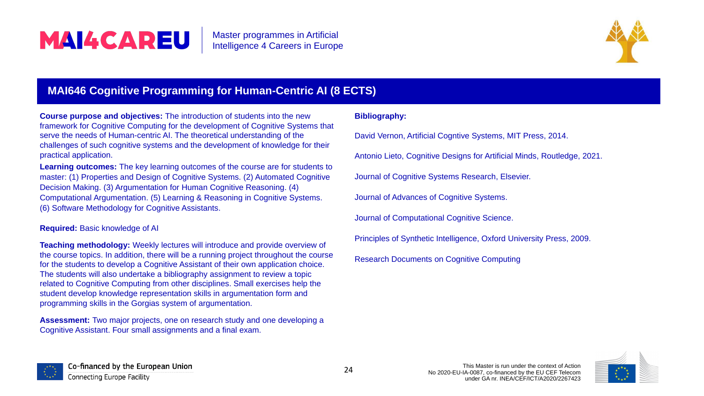### **MAI646 Cognitive Programming for Human-Centric AI**

**Course purpose and objectives:** The introduction of students into the new framework for Cognitive Computing for the development of Cognitive Systems that serve the needs of Human-centric AI. The theoretical understanding of the challenges of such cognitive systems and the development of knowledge for their practical application.

Learning outcomes: The key learning outcomes of the course are for students to master: (1) Properties and Design of Cognitive Systems. (2) Automated Cognitive Decision Making. (3) Argumentation for Human Cognitive Reasoning. (4) Computational Argumentation. (5) Learning & Reasoning in Cognitive Systems. (6) Software Methodology for Cognitive Assistants.

#### **Required:** Basic knowledge of AI

**Teaching methodology:** Weekly lectures will introduce and provide overview of the course topics. In addition, there will be a running project throughout the course for the students to develop a Cognitive Assistant of their own application choice. The students will also undertake a bibliography assignment to review a topic related to Cognitive Computing from other disciplines. Small exercises help the student develop knowledge representation skills in argumentation form and programming skills in the Gorgias system of argumentation.

**Assessment:** Two major projects, one on research study and one developing a Cognitive Assistant. Four small assignments and a final exam.





| <b>(8 ECTS)</b> |  |
|-----------------|--|
|                 |  |

|                       | <b>Bibliography:</b>                                                    |
|-----------------------|-------------------------------------------------------------------------|
| Эt                    | David Vernon, Artificial Cogntive Systems, MIT Press, 2014.             |
|                       | Antonio Lieto, Cognitive Designs for Artificial Minds, Routledge, 2021. |
| $\mathsf O$           | Journal of Cognitive Systems Research, Elsevier.                        |
|                       | Journal of Advances of Cognitive Systems.                               |
|                       | <b>Journal of Computational Cognitive Science.</b>                      |
|                       | Principles of Synthetic Intelligence, Oxford University Press, 2009.    |
| $\boldsymbol{\theta}$ | <b>Research Documents on Cognitive Computing</b>                        |

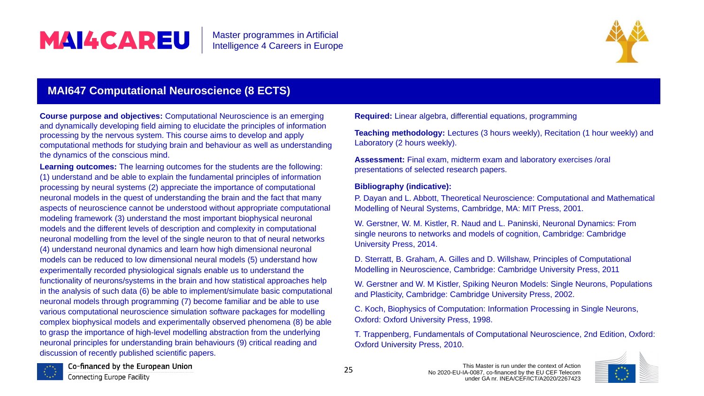### **MAI647 Computational Neuroscience (8 ECTS)**

**Course purpose and objectives:** Computational Neuroscience is an emerging and dynamically developing field aiming to elucidate the principles of information processing by the nervous system. This course aims to develop and apply computational methods for studying brain and behaviour as well as understanding the dynamics of the conscious mind.

**Learning outcomes:** The learning outcomes for the students are the following: (1) understand and be able to explain the fundamental principles of information processing by neural systems (2) appreciate the importance of computational neuronal models in the quest of understanding the brain and the fact that many aspects of neuroscience cannot be understood without appropriate computational modeling framework (3) understand the most important biophysical neuronal models and the different levels of description and complexity in computational neuronal modelling from the level of the single neuron to that of neural networks (4) understand neuronal dynamics and learn how high dimensional neuronal models can be reduced to low dimensional neural models (5) understand how experimentally recorded physiological signals enable us to understand the functionality of neurons/systems in the brain and how statistical approaches help in the analysis of such data (6) be able to implement/simulate basic computational neuronal models through programming (7) become familiar and be able to use various computational neuroscience simulation software packages for modelling complex biophysical models and experimentally observed phenomena (8) be able to grasp the importance of high-level modelling abstraction from the underlying neuronal principles for understanding brain behaviours (9) critical reading and discussion of recently published scientific papers.



Co-financed by the European Union

**Connecting Europe Facility** 



| <b>Required:</b> Linear algebra, differential equations, programming                                                                                                                       |
|--------------------------------------------------------------------------------------------------------------------------------------------------------------------------------------------|
| <b>Teaching methodology:</b> Lectures (3 hours weekly), Recitation (1 hour weekly) and<br>Laboratory (2 hours weekly).                                                                     |
| <b>Assessment:</b> Final exam, midterm exam and laboratory exercises /oral<br>presentations of selected research papers.                                                                   |
| <b>Bibliography (indicative):</b><br>P. Dayan and L. Abbott, Theoretical Neuroscience: Computational and Mathematical<br>Modelling of Neural Systems, Cambridge, MA: MIT Press, 2001.      |
| W. Gerstner, W. M. Kistler, R. Naud and L. Paninski, Neuronal Dynamics: From<br>single neurons to networks and models of cognition, Cambridge: Cambridge<br><b>University Press, 2014.</b> |
| D. Sterratt, B. Graham, A. Gilles and D. Willshaw, Principles of Computational<br>Modelling in Neuroscience, Cambridge: Cambridge University Press, 2011                                   |
| W. Gerstner and W. M Kistler, Spiking Neuron Models: Single Neurons, Populations<br>and Plasticity, Cambridge: Cambridge University Press, 2002.                                           |
| C. Koch, Biophysics of Computation: Information Processing in Single Neurons,<br><b>Oxford: Oxford University Press, 1998.</b>                                                             |
| T. Trappenberg, Fundamentals of Computational Neuroscience, 2nd Edition, Oxford:<br><b>Oxford University Press, 2010.</b>                                                                  |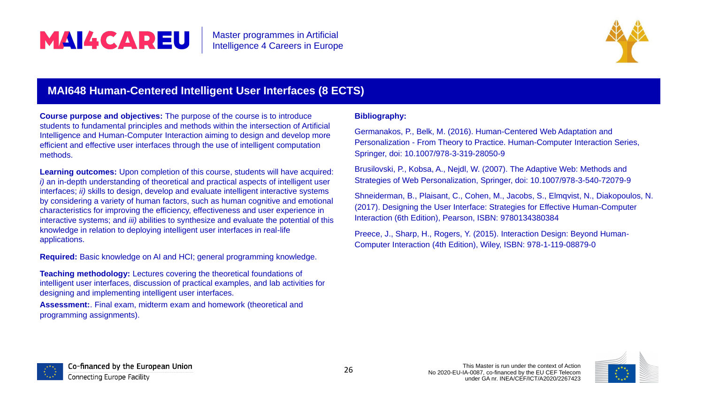### **MAI648 Human-Centered Intelligent User Interfaces (8)**

**Course purpose and objectives:** The purpose of the course is to introduce students to fundamental principles and methods within the intersection of Artificial Intelligence and Human-Computer Interaction aiming to design and develop more efficient and effective user interfaces through the use of intelligent computation methods.

Learning outcomes: Upon completion of this course, students will have acquired *i*) an in-depth understanding of theoretical and practical aspects of intelligent user interfaces; *ii)* skills to design, develop and evaluate intelligent interactive systems by considering a variety of human factors, such as human cognitive and emotional characteristics for improving the efficiency, effectiveness and user experience in interactive systems; and *iii)* abilities to synthesize and evaluate the potential of this knowledge in relation to deploying intelligent user interfaces in real-life applications.

**Required:** Basic knowledge on AI and HCI; general programming knowledge.

**Teaching methodology:** Lectures covering the theoretical foundations of intelligent user interfaces, discussion of practical examples, and lab activities for designing and implementing intelligent user interfaces.

**Assessment:**. Final exam, midterm exam and homework (theoretical and programming assignments).





| <b>ECTS</b> |                                                                                                                                                                                                                                 |
|-------------|---------------------------------------------------------------------------------------------------------------------------------------------------------------------------------------------------------------------------------|
|             | <b>Bibliography:</b>                                                                                                                                                                                                            |
|             | Germanakos, P., Belk, M. (2016). Human-Centered Web Adaptation and<br>Personalization - From Theory to Practice. Human-Computer Interaction Series,<br>Springer, doi: 10.1007/978-3-319-28050-9                                 |
|             | Brusilovski, P., Kobsa, A., Nejdl, W. (2007). The Adaptive Web: Methods and<br>Strategies of Web Personalization, Springer, doi: 10.1007/978-3-540-72079-9                                                                      |
| S           | Shneiderman, B., Plaisant, C., Cohen, M., Jacobs, S., Elmqvist, N., Diakopoulos, N.<br>(2017). Designing the User Interface: Strategies for Effective Human-Computer<br>Interaction (6th Edition), Pearson, ISBN: 9780134380384 |
|             | Preece, J., Sharp, H., Rogers, Y. (2015). Interaction Design: Beyond Human-<br>Computer Interaction (4th Edition), Wiley, ISBN: 978-1-119-08879-0                                                                               |
|             |                                                                                                                                                                                                                                 |

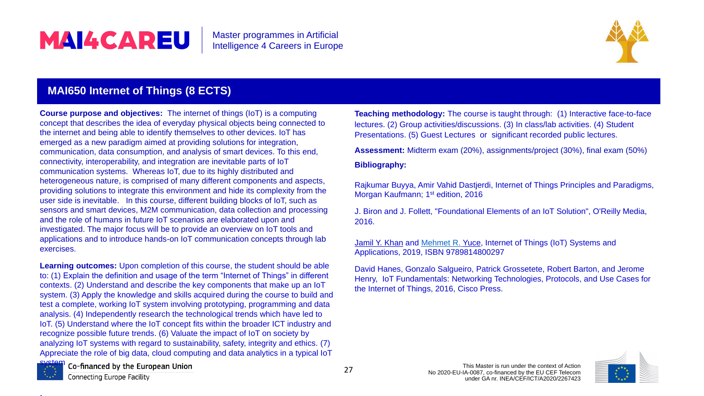### **MAI650 Internet of Things (8 ECTS)**

**Course purpose and objectives:** The internet of things (IoT) is a computing concept that describes the idea of everyday physical objects being connected to the internet and being able to identify themselves to other devices. IoT has emerged as a new paradigm aimed at providing solutions for integration, communication, data consumption, and analysis of smart devices. To this end, connectivity, interoperability, and integration are inevitable parts of IoT communication systems. Whereas IoT, due to its highly distributed and heterogeneous nature, is comprised of many different components and aspects, providing solutions to integrate this environment and hide its complexity from the user side is inevitable. In this course, different building blocks of IoT, such as sensors and smart devices, M2M communication, data collection and processing and the role of humans in future IoT scenarios are elaborated upon and investigated. The major focus will be to provide an overview on IoT tools and applications and to introduce hands-on IoT communication concepts through lab exercises.

Rajkumar Buyya, Amir Vahid Dastjerdi, Internet of Things Principles and Paradigms, Morgan Kaufmann; 1<sup>st</sup> edition, 2016

**Learning outcomes:** Upon completion of this course, the student should be able to: (1) Explain the definition and usage of the term "Internet of Things" in different contexts. (2) Understand and describe the key components that make up an IoT system. (3) Apply the knowledge and skills acquired during the course to build and test a complete, working IoT system involving prototyping, programming and data analysis. (4) Independently research the technological trends which have led to IoT. (5) Understand where the IoT concept fits within the broader ICT industry and recognize possible future trends. (6) Valuate the impact of IoT on society by analyzing IoT systems with regard to sustainability, safety, integrity and ethics. (7) Appreciate the role of big data, cloud computing and data analytics in a typical IoT



**:**.

Co-financed by the European Union

Connecting Europe Facility



**Teaching methodology:** The course is taught through: (1) Interactive face-to-face lectures. (2) Group activities/discussions. (3) In class/lab activities. (4) Student Presentations. (5) Guest Lectures or significant recorded public lectures.

**Assessment:** Midterm exam (20%), assignments/project (30%), final exam (50%)

#### **Bibliography:**

J. Biron and J. Follett, "Foundational Elements of an IoT Solution", O'Reilly Media, 2016.

[Jamil Y. Khan](https://www.routledge.com/search?author=Jamil%20Y.%20Khan) and [Mehmet R. Yuce](https://www.routledge.com/search?author=Mehmet%20R.%20Yuce), Internet of Things (IoT) Systems and Applications, 2019, ISBN 9789814800297

David Hanes, Gonzalo Salgueiro, Patrick Grossetete, Robert Barton, and Jerome Henry, IoT Fundamentals: Networking Technologies, Protocols, and Use Cases for the Internet of Things, 2016, Cisco Press.

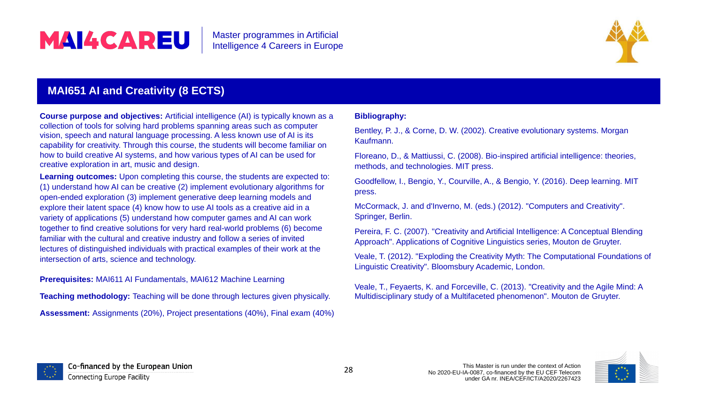### **MAI651 AI and Creativity (8 ECTS)**

**Course purpose and objectives:** Artificial intelligence (AI) is typically known as a collection of tools for solving hard problems spanning areas such as computer vision, speech and natural language processing. A less known use of AI is its capability for creativity. Through this course, the students will become familiar on how to build creative AI systems, and how various types of AI can be used for creative exploration in art, music and design.

**Learning outcomes:** Upon completing this course, the students are expected to: (1) understand how AI can be creative (2) implement evolutionary algorithms for open-ended exploration (3) implement generative deep learning models and explore their latent space (4) know how to use AI tools as a creative aid in a variety of applications (5) understand how computer games and AI can work together to find creative solutions for very hard real-world problems (6) become familiar with the cultural and creative industry and follow a series of invited lectures of distinguished individuals with practical examples of their work at the intersection of arts, science and technology.

**Prerequisites:** MAI611 AI Fundamentals, MAI612 Machine Learning

**Teaching methodology:** Teaching will be done through lectures given physically.

**Assessment:** Assignments (20%), Project presentations (40%), Final exam (40%)





| <b>Bibliography:</b>                                                                                                                                                 |
|----------------------------------------------------------------------------------------------------------------------------------------------------------------------|
| Bentley, P. J., & Corne, D. W. (2002). Creative evolutionary systems. Morgan<br>Kaufmann.                                                                            |
| Floreano, D., & Mattiussi, C. (2008). Bio-inspired artificial intelligence: theories,<br>methods, and technologies. MIT press.                                       |
| Goodfellow, I., Bengio, Y., Courville, A., & Bengio, Y. (2016). Deep learning. MIT<br>press.                                                                         |
| McCormack, J. and d'Inverno, M. (eds.) (2012). "Computers and Creativity".<br>Springer, Berlin.                                                                      |
| Pereira, F. C. (2007). "Creativity and Artificial Intelligence: A Conceptual Blending<br>Approach". Applications of Cognitive Linguistics series, Mouton de Gruyter. |
| Veale, T. (2012). "Exploding the Creativity Myth: The Computational Foundations of<br>Linguistic Creativity". Bloomsbury Academic, London.                           |
| Veale, T., Feyaerts, K. and Forceville, C. (2013). "Creativity and the Agile Mind: A<br>Multidisciplinary study of a Multifaceted phenomenon". Mouton de Gruyter.    |
|                                                                                                                                                                      |
|                                                                                                                                                                      |

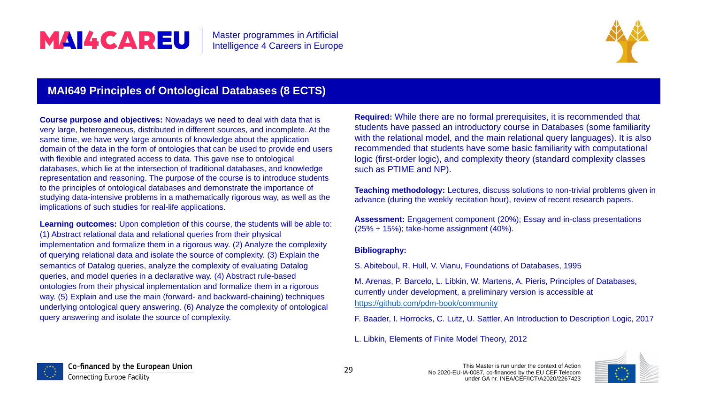### **MAI649 Principles of Ontological Databases (8 ECTS)**

**Course purpose and objectives:** Nowadays we need to deal with data that is very large, heterogeneous, distributed in different sources, and incomplete. At the same time, we have very large amounts of knowledge about the application domain of the data in the form of ontologies that can be used to provide end users with flexible and integrated access to data. This gave rise to ontological databases, which lie at the intersection of traditional databases, and knowledge representation and reasoning. The purpose of the course is to introduce students to the principles of ontological databases and demonstrate the importance of studying data-intensive problems in a mathematically rigorous way, as well as the implications of such studies for real-life applications.

**Learning outcomes:** Upon completion of this course, the students will be able to: (1) Abstract relational data and relational queries from their physical implementation and formalize them in a rigorous way. (2) Analyze the complexity of querying relational data and isolate the source of complexity. (3) Explain the semantics of Datalog queries, analyze the complexity of evaluating Datalog queries, and model queries in a declarative way. (4) Abstract rule-based ontologies from their physical implementation and formalize them in a rigorous way. (5) Explain and use the main (forward- and backward-chaining) techniques underlying ontological query answering. (6) Analyze the complexity of ontological query answering and isolate the source of complexity.



Co-financed by the European Union Connecting Europe Facility



**Required:** While there are no formal prerequisites, it is recommended that students have passed an introductory course in Databases (some familiarity with the relational model, and the main relational query languages). It is also recommended that students have some basic familiarity with computational logic (first-order logic), and complexity theory (standard complexity classes such as PTIME and NP).

**Teaching methodology:** Lectures, discuss solutions to non-trivial problems given in advance (during the weekly recitation hour), review of recent research papers.

**Assessment:** Engagement component (20%); Essay and in-class presentations (25% + 15%); take-home assignment (40%).

#### **Bibliography:**

S. Abiteboul, R. Hull, V. Vianu, Foundations of Databases, 1995

M. Arenas, P. Barcelo, L. Libkin, W. Martens, A. Pieris, Principles of Databases, currently under development, a preliminary version is accessible at <https://github.com/pdm-book/community>

- F. Baader, I. Horrocks, C. Lutz, U. Sattler, An Introduction to Description Logic, 2017
- L. Libkin, Elements of Finite Model Theory, 2012

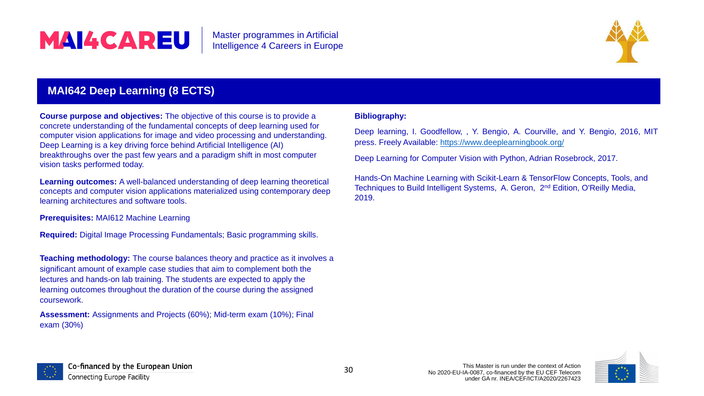

### **MAI642 Deep Learning (8 ECTS)**

**Course purpose and objectives:** The objective of this course is to provide a concrete understanding of the fundamental concepts of deep learning used for computer vision applications for image and video processing and understanding. Deep Learning is a key driving force behind Artificial Intelligence (AI) breakthroughs over the past few years and a paradigm shift in most computer vision tasks performed today.

**Learning outcomes:** A well-balanced understanding of deep learning theoretical concepts and computer vision applications materialized using contemporary deep learning architectures and software tools.

**Prerequisites:** MAI612 Machine Learning

**Required:** Digital Image Processing Fundamentals; Basic programming skills.

**Teaching methodology:** The course balances theory and practice as it involves a significant amount of example case studies that aim to complement both the lectures and hands-on lab training. The students are expected to apply the learning outcomes throughout the duration of the course during the assigned coursework.

**Assessment:** Assignments and Projects (60%); Mid-term exam (10%); Final exam (30%)



Co-financed by the European Union Connecting Europe Facility



#### **Bibliography:**

Deep learning, I. Goodfellow, , Y. Bengio, A. Courville, and Y. Bengio, 2016, MIT press. Freely Available: <https://www.deeplearningbook.org/>

Deep Learning for Computer Vision with Python, Adrian Rosebrock, 2017.

Hands-On Machine Learning with Scikit-Learn & TensorFlow Concepts, Tools, and Techniques to Build Intelligent Systems, A. Geron, 2<sup>nd</sup> Edition, O'Reilly Media, 2019.

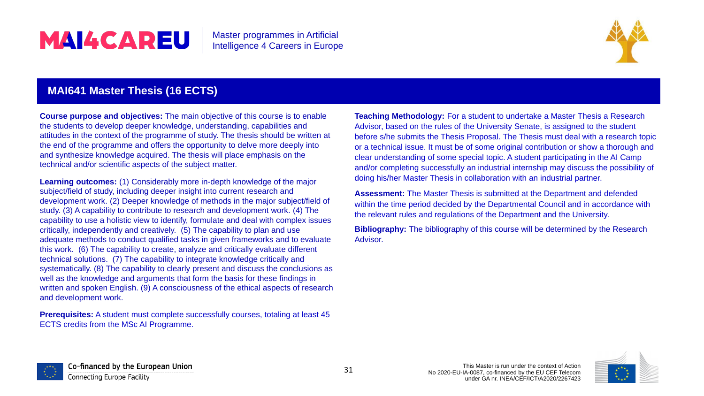### **MAI641 Master Thesis (16 ECTS)**

**Course purpose and objectives:** The main objective of this course is to enable the students to develop deeper knowledge, understanding, capabilities and attitudes in the context of the programme of study. The thesis should be written at the end of the programme and offers the opportunity to delve more deeply into and synthesize knowledge acquired. The thesis will place emphasis on the technical and/or scientific aspects of the subject matter.

**Learning outcomes:** (1) Considerably more in-depth knowledge of the major subject/field of study, including deeper insight into current research and development work. (2) Deeper knowledge of methods in the major subject/field of study. (3) A capability to contribute to research and development work. (4) The capability to use a holistic view to identify, formulate and deal with complex issues critically, independently and creatively. (5) The capability to plan and use adequate methods to conduct qualified tasks in given frameworks and to evaluate this work. (6) The capability to create, analyze and critically evaluate different technical solutions. (7) The capability to integrate knowledge critically and systematically. (8) The capability to clearly present and discuss the conclusions as well as the knowledge and arguments that form the basis for these findings in written and spoken English. (9) A consciousness of the ethical aspects of research and development work.

**Prerequisites:** A student must complete successfully courses, totaling at least 45 ECTS credits from the MSc AI Programme.



Co-financed by the European Union Connecting Europe Facility



**Teaching Methodology:** For a student to undertake a Master Thesis a Research Advisor, based on the rules of the University Senate, is assigned to the student before s/he submits the Thesis Proposal. The Thesis must deal with a research topic or a technical issue. It must be of some original contribution or show a thorough and clear understanding of some special topic. A student participating in the AI Camp and/or completing successfully an industrial internship may discuss the possibility of doing his/her Master Thesis in collaboration with an industrial partner.

**Assessment:** The Master Thesis is submitted at the Department and defended within the time period decided by the Departmental Council and in accordance with the relevant rules and regulations of the Department and the University.

**Bibliography:** The bibliography of this course will be determined by the Research Advisor.

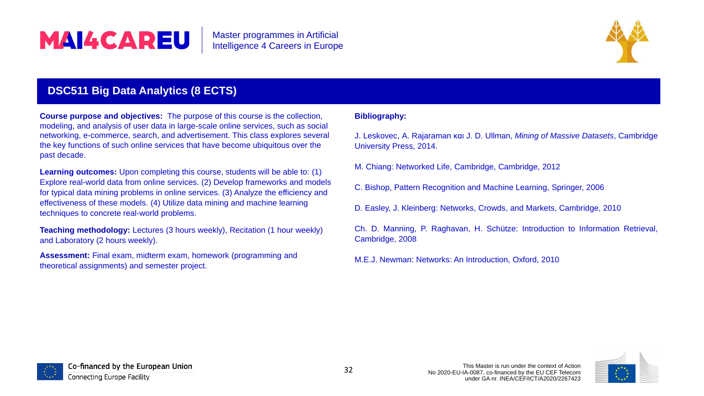### **DSC511 Big Data Analytics (8 ECTS)**

**Course purpose and objectives:** The purpose of this course is the collection, modeling, and analysis of user data in large-scale online services, such as social networking, e-commerce, search, and advertisement. This class explores several the key functions of such online services that have become ubiquitous over the past decade.

**Learning outcomes:** Upon completing this course, students will be able to: (1) Explore real-world data from online services. (2) Develop frameworks and models for typical data mining problems in online services. (3) Analyze the efficiency and effectiveness of these models. (4) Utilize data mining and machine learning techniques to concrete real-world problems.

**Teaching methodology:** Lectures (3 hours weekly), Recitation (1 hour weekly) and Laboratory (2 hours weekly).

**Assessment:** Final exam, midterm exam, homework (programming and theoretical assignments) and semester project.



Co-financed by the European Union Connecting Europe Facility



#### **Bibliography:**

J. Leskovec, A. Rajaraman και J. D. Ullman, *Mining of Massive Datasets*, Cambridge University Press, 2014.

M. Chiang: Networked Life, Cambridge, Cambridge, 2012

- C. Bishop, Pattern Recognition and Machine Learning, Springer, 2006
- D. Easley, J. Kleinberg: Networks, Crowds, and Markets, Cambridge, 2010

Ch. D. Manning, P. Raghavan, H. Schütze: Introduction to Information Retrieval, Cambridge, 2008

M.E.J. Newman: Networks: An Introduction, Oxford, 2010

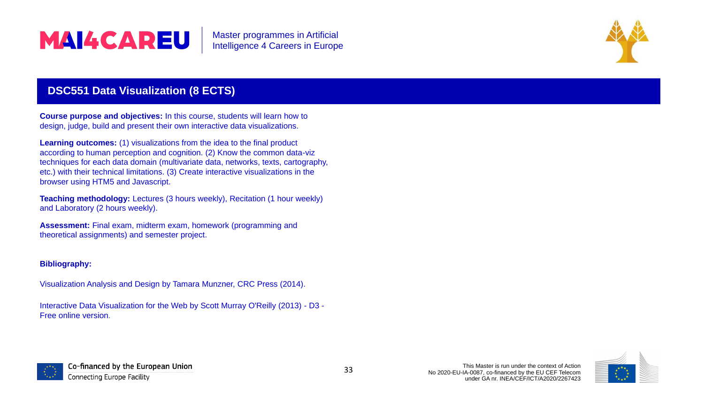

### **DSC551 Data Visualization (8 ECTS)**

**Course purpose and objectives:** In this course, students will learn how to design, judge, build and present their own interactive data visualizations.

**Learning outcomes:** (1) visualizations from the idea to the final product according to human perception and cognition. (2) Know the common data-viz techniques for each data domain (multivariate data, networks, texts, cartography, etc.) with their technical limitations. (3) Create interactive visualizations in the browser using HTM5 and Javascript.

**Teaching methodology:** Lectures (3 hours weekly), Recitation (1 hour weekly) and Laboratory (2 hours weekly).

**Assessment:** Final exam, midterm exam, homework (programming and theoretical assignments) and semester project.

#### **Bibliography:**

Visualization Analysis and Design by Tamara Munzner, CRC Press (2014).

Interactive Data Visualization for the Web by Scott Murray O'Reilly (2013) - D3 - Free online version.





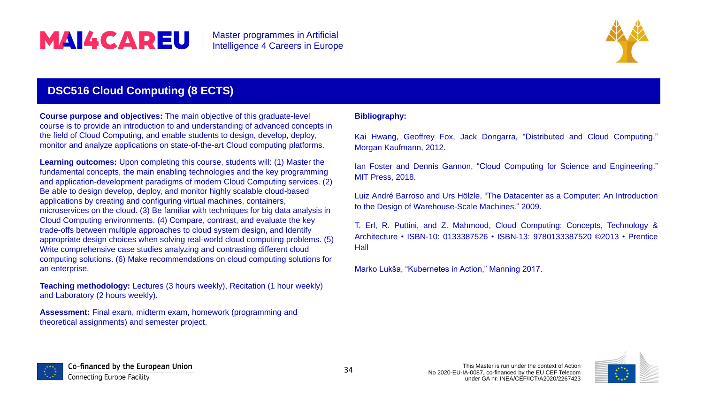### **DSC516 Cloud Computing (8 ECTS)**

**Course purpose and objectives:** The main objective of this graduate-level course is to provide an introduction to and understanding of advanced concepts in the field of Cloud Computing, and enable students to design, develop, deploy, monitor and analyze applications on state-of-the-art Cloud computing platforms.

**Learning outcomes:** Upon completing this course, students will: (1) Master the fundamental concepts, the main enabling technologies and the key programming and application-development paradigms of modern Cloud Computing services. (2) Be able to design develop, deploy, and monitor highly scalable cloud-based applications by creating and configuring virtual machines, containers, microservices on the cloud. (3) Be familiar with techniques for big data analysis in Cloud Computing environments. (4) Compare, contrast, and evaluate the key trade-offs between multiple approaches to cloud system design, and Identify appropriate design choices when solving real-world cloud computing problems. (5) Write comprehensive case studies analyzing and contrasting different cloud computing solutions. (6) Make recommendations on cloud computing solutions for an enterprise.

**Teaching methodology:** Lectures (3 hours weekly), Recitation (1 hour weekly) and Laboratory (2 hours weekly).

**Assessment:** Final exam, midterm exam, homework (programming and theoretical assignments) and semester project.





|      | Kai Hwang, Geoffrey Fox, Jack Dongarra, "Distributed and Cloud Computing."<br>Morgan Kaufmann, 2012.                                                        |
|------|-------------------------------------------------------------------------------------------------------------------------------------------------------------|
|      | lan Foster and Dennis Gannon, "Cloud Computing for Science and Engineering."<br><b>MIT Press, 2018.</b>                                                     |
|      | Luiz André Barroso and Urs Hölzle, "The Datacenter as a Computer: An Introduction<br>to the Design of Warehouse-Scale Machines." 2009.                      |
| Hall | T. Erl, R. Puttini, and Z. Mahmood, Cloud Computing: Concepts, Technology &<br>Architecture • ISBN-10: 0133387526 • ISBN-13: 9780133387520 ©2013 • Prentice |
|      | Marko Lukša, "Kubernetes in Action," Manning 2017.                                                                                                          |

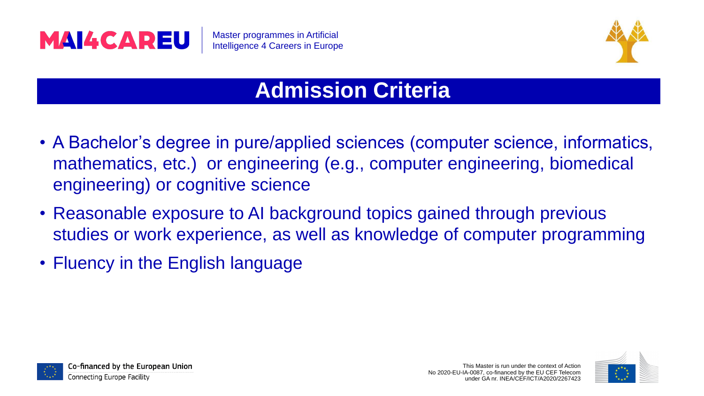

### **Admission Criteria**

- A Bachelor's degree in pure/applied sciences (computer science, informatics, mathematics, etc.) or engineering (e.g., computer engineering, biomedical engineering) or cognitive science
- Reasonable exposure to AI background topics gained through previous studies or work experience, as well as knowledge of computer programming
- Fluency in the English language



Co-financed by the European Union





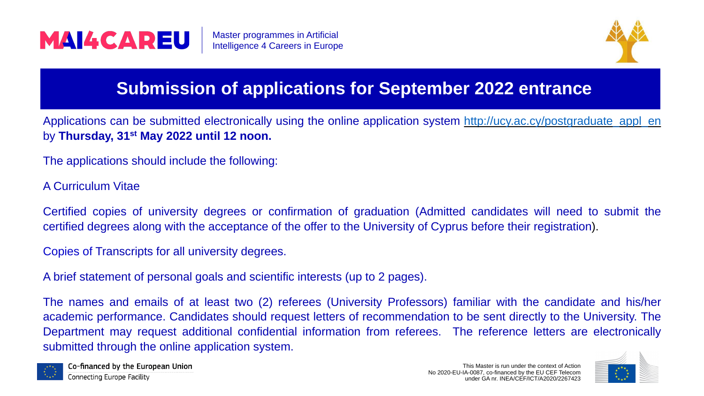





Applications can be submitted electronically using the online application system [http://ucy.ac.cy/postgraduate\\_appl\\_en](http://ucy.ac.cy/postgraduate_appl_en) by **Thursday, 31st May 2022 until 12 noon.**

### **Submission of applications for September 2022 entrance**

- The applications should include the following:
- A Curriculum Vitae

Certified copies of university degrees or confirmation of graduation (Admitted candidates will need to submit the certified degrees along with the acceptance of the offer to the University of Cyprus before their registration).

Copies of Transcripts for all university degrees.

A brief statement of personal goals and scientific interests (up to 2 pages).

The names and emails of at least two (2) referees (University Professors) familiar with the candidate and his/her academic performance. Candidates should request letters of recommendation to be sent directly to the University. The Department may request additional confidential information from referees. The reference letters are electronically submitted through the online application system.



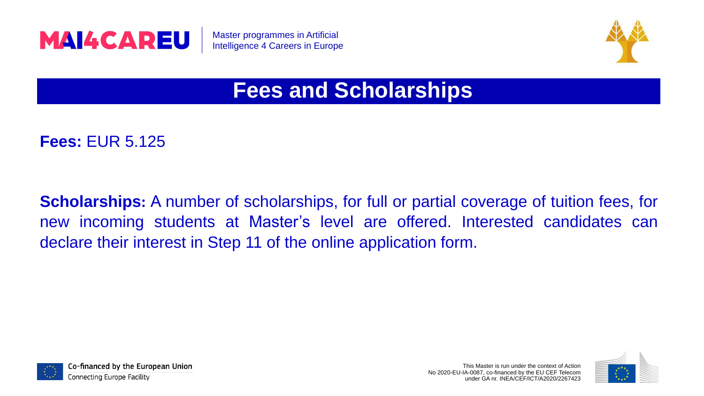

Master programmes in Artificial Intelligence 4 Careers in Europe



# **Scholarships:** A number of scholarships, for full or partial coverage of tuition fees, for new incoming students at Master's level are offered. Interested candidates can



### **Fees and Scholarships**

### **Fees:** EUR 5.125

declare their interest in Step 11 of the online application form.



Co-financed by the European Union

Connecting Europe Facility